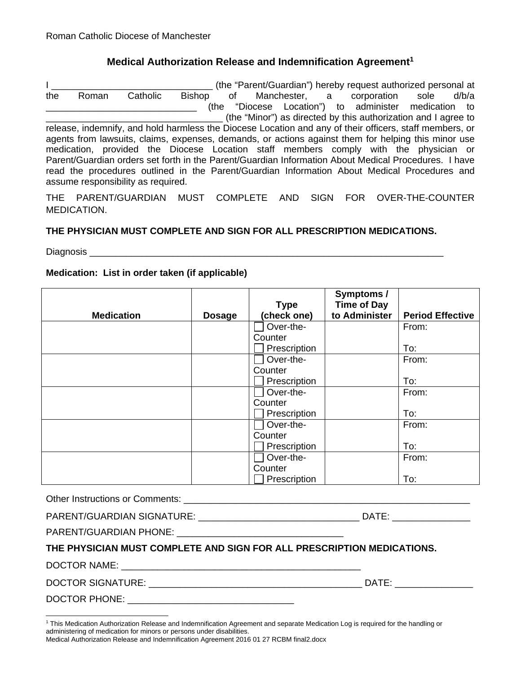## **Medical Authorization Release and Indemnification Agreement1**

I \_\_\_\_\_\_\_\_\_\_\_\_\_\_\_\_\_\_\_\_\_\_\_\_\_\_\_\_\_\_\_ (the "Parent/Guardian") hereby request authorized personal at the Roman Catholic Bishop of Manchester, a corporation sole d/b/a \_\_\_\_\_\_\_\_\_\_\_\_\_\_\_\_\_\_\_\_\_\_\_\_\_\_\_\_\_ (the "Diocese Location") to administer medication to \_\_\_\_\_\_\_\_\_\_\_\_\_\_\_\_\_\_\_\_\_\_\_\_\_\_\_\_\_\_\_\_\_\_ (the "Minor") as directed by this authorization and I agree to release, indemnify, and hold harmless the Diocese Location and any of their officers, staff members, or agents from lawsuits, claims, expenses, demands, or actions against them for helping this minor use medication, provided the Diocese Location staff members comply with the physician or Parent/Guardian orders set forth in the Parent/Guardian Information About Medical Procedures. I have read the procedures outlined in the Parent/Guardian Information About Medical Procedures and assume responsibility as required.

THE PARENT/GUARDIAN MUST COMPLETE AND SIGN FOR OVER-THE-COUNTER MEDICATION.

### **THE PHYSICIAN MUST COMPLETE AND SIGN FOR ALL PRESCRIPTION MEDICATIONS.**

Diagnosis \_\_\_\_\_\_\_\_\_\_\_\_\_\_\_\_\_\_\_\_\_\_\_\_\_\_\_\_\_\_\_\_\_\_\_\_\_\_\_\_\_\_\_\_\_\_\_\_\_\_\_\_\_\_\_\_\_\_\_\_\_\_\_\_\_\_\_\_

### **Medication: List in order taken (if applicable)**

|                   |               | <b>Type</b>  | Symptoms /<br><b>Time of Day</b> |                         |
|-------------------|---------------|--------------|----------------------------------|-------------------------|
| <b>Medication</b> | <b>Dosage</b> | (check one)  | to Administer                    | <b>Period Effective</b> |
|                   |               | Over-the-    |                                  | From:                   |
|                   |               | Counter      |                                  |                         |
|                   |               | Prescription |                                  | To:                     |
|                   |               | Over-the-    |                                  | From:                   |
|                   |               | Counter      |                                  |                         |
|                   |               | Prescription |                                  | To:                     |
|                   |               | Over-the-    |                                  | From:                   |
|                   |               | Counter      |                                  |                         |
|                   |               | Prescription |                                  | To:                     |
|                   |               | Over-the-    |                                  | From:                   |
|                   |               | Counter      |                                  |                         |
|                   |               | Prescription |                                  | To:                     |
|                   |               | Over-the-    |                                  | From:                   |
|                   |               | Counter      |                                  |                         |
|                   |               | Prescription |                                  | To:                     |

Other Instructions or Comments: \_\_\_\_\_\_\_\_\_\_\_\_\_\_\_\_\_\_\_\_\_\_\_\_\_\_\_\_\_\_\_\_\_\_\_\_\_\_\_\_\_\_\_\_\_\_\_\_\_\_\_\_\_\_\_

| <b>PARENT/GUARDIAN SIGNATURE:</b> | ۱Δ |
|-----------------------------------|----|
| _ . _ __ ._ _ _ _                 |    |

PARENT/GUARDIAN PHONE:

### **THE PHYSICIAN MUST COMPLETE AND SIGN FOR ALL PRESCRIPTION MEDICATIONS.**

DOCTOR NAME:  $\Box$ 

DOCTOR SIGNATURE: \_\_\_\_\_\_\_\_\_\_\_\_\_\_\_\_\_\_\_\_\_\_\_\_\_\_\_\_\_\_\_\_\_\_\_\_\_\_\_\_\_ DATE: \_\_\_\_\_\_\_\_\_\_\_\_\_\_\_

DOCTOR PHONE:

<sup>&</sup>lt;sup>1</sup> This Medication Authorization Release and Indemnification Agreement and separate Medication Log is required for the handling or administering of medication for minors or persons under disabilities.

Medical Authorization Release and Indemnification Agreement 2016 01 27 RCBM final2.docx